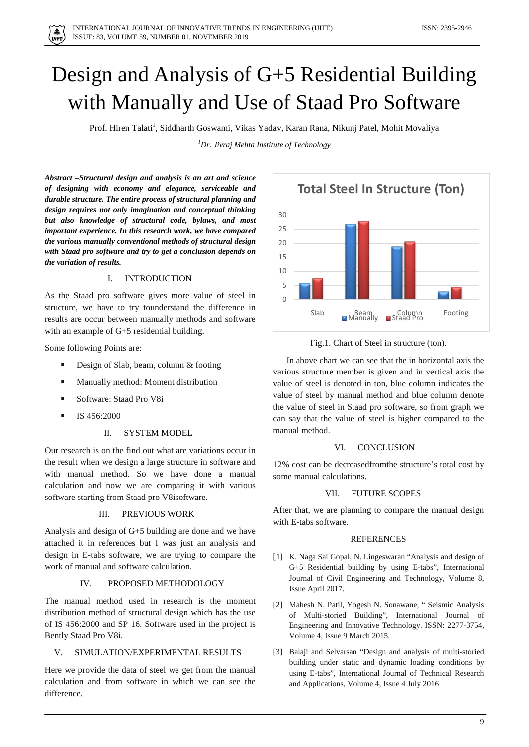# Design and Analysis of G+5 Residential Building with Manually and Use of Staad Pro Software

Prof. Hiren Talati<sup>1</sup>, Siddharth Goswami, Vikas Yadav, Karan Rana, Nikunj Patel, Mohit Movaliya

*1 Dr. Jivraj Mehta Institute of Technology*

*Abstract –Structural design and analysis is an art and science of designing with economy and elegance, serviceable and durable structure. The entire process of structural planning and design requires not only imagination and conceptual thinking but also knowledge of structural code, bylaws, and most important experience. In this research work, we have compared the various manually conventional methods of structural design with Staad pro software and try to get a conclusion depends on the variation of results.*

#### I. INTRODUCTION

As the Staad pro software gives more value of steel in structure, we have to try tounderstand the difference in results are occur between manually methods and software with an example of G+5 residential building.

Some following Points are:

- Design of Slab, beam, column & footing
- Manually method: Moment distribution
- Software: Staad Pro V8i
- IS 456:2000

## II. SYSTEM MODEL

Our research is on the find out what are variations occur in the result when we design a large structure in software and with manual method. So we have done a manual calculation and now we are comparing it with various software starting from Staad pro V8isoftware.

#### III. PREVIOUS WORK

Analysis and design of G+5 building are done and we have attached it in references but I was just an analysis and design in E-tabs software, we are trying to compare the work of manual and software calculation.

## IV. PROPOSED METHODOLOGY

The manual method used in research is the moment distribution method of structural design which has the use of IS 456:2000 and SP 16. Software used in the project is Bently Staad Pro V8i.

#### V. SIMULATION/EXPERIMENTAL RESULTS

Here we provide the data of steel we get from the manual calculation and from software in which we can see the difference.



Fig.1. Chart of Steel in structure (ton).

 In above chart we can see that the in horizontal axis the various structure member is given and in vertical axis the value of steel is denoted in ton, blue column indicates the value of steel by manual method and blue column denote the value of steel in Staad pro software, so from graph we can say that the value of steel is higher compared to the manual method.

#### VI. CONCLUSION

12% cost can be decreasedfromthe structure's total cost by some manual calculations.

## VII. FUTURE SCOPES

After that, we are planning to compare the manual design with E-tabs software.

### **REFERENCES**

- [1] K. Naga Sai Gopal, N. Lingeswaran "Analysis and design of G+5 Residential building by using E-tabs", International Journal of Civil Engineering and Technology, Volume 8, Issue April 2017.
- [2] Mahesh N. Patil, Yogesh N. Sonawane, " Seismic Analysis of Multi-storied Building", International Journal of Engineering and Innovative Technology. ISSN: 2277-3754, Volume 4, Issue 9 March 2015.
- [3] Balaji and Selvarsan "Design and analysis of multi-storied building under static and dynamic loading conditions by using E-tabs", International Journal of Technical Research and Applications, Volume 4, Issue 4 July 2016